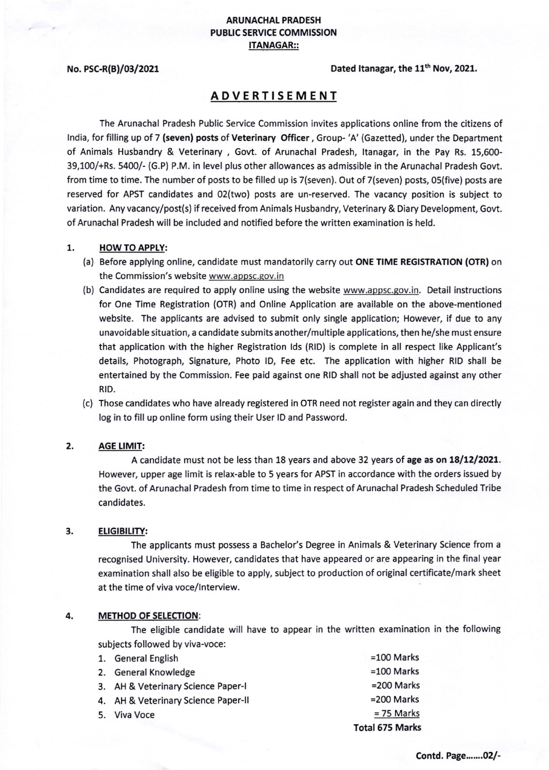## ARUNACHAT PRADESH PUBLIC SERVICE COMMISSION ITANAGAR::

### No. PSC-R(B)/03/2021  $Dated \ transar, the 11<sup>th</sup> Nov, 2021.$

# ADVERT!SEMENT

The Arunachal Pradesh Public Service Commission invites applications online from the citizens of lndia, for filling up of 7 (seven) posts of Veterinary Officer , Group- 'A' (Gazetted), under the Department of Animals Husbandry & Veterinary , Govt. of Arunachal Pradesh, ltanagar, in the Pay Rs. 15,600- 39,100/+Rs. 5400/- (G.P) P.M. in level plus other allowances as admissible in the Arunachal Pradesh Govt. from time to time. The number of posts to be filled up is 7(seven). Out of 7(seven) posts, 05(five) posts are reserved for APST candidates and 02(two) posts are un-reserved. The vacancy position is subject to variation. Any vacancy/post(s) if received from Animals Husbandry, Veterinary & Diary Development, Govt. of Arunachal Pradesh will be included and notified before the written examination is held.

## 1. HOW TO APPLY:

- (a) Before applying online, candidate must mandatorily carry out ONE TIME REGISTRATION (OTR) on the Commission's website www.appsc.gov.in
- (b) Candidates are required to apply online using the website www.appsc.gov.in. Detail instructions for One Time Registration (OTR) and Onllne Application are available on the above-mentioned website. The applicants are advised to submit only single application; However, if due to any unavoidable situation, a candidate submits another/multiple applications, then he/she must ensure that application with the higher Registration lds (RlD) is complete in all respect like Applicant's details, Photograph, Signature, Photo lD, Fee etc. The application with higher RID shall be entertained by the Commission. Fee paid against one RID shall not be adjusted against any other RID.
- (c) Those candidates who have already registered in OTR need not register again and they can directly log in to fill up online form using their User lD and Password.

#### **AGE LIMIT:** 2.

A candidate must not be less than 18 years and above 32 years of age as on 18/12/2021. However, upper age limit is relax-able to 5 years for APST in accordance with the orders issued by the Govt. of Arunachal Pradesh from time to time in respect of Arunachal Pradesh Scheduled Tribe candidates.

### 3. **ELIGIBILITY:**

The applicants must possess a Bachelor's Degree in Animals & Veterinary Science from a recognised University. However, candidates that have appeared or are appearing in the final year examination shall also be eligible to apply, subject to production of original certificate/mark sheet at the time of viva voce/lnterview.

### 4. METHOD OF SELECTION:

The eligible candidate will have to appear in the written examination in the following subjects followed by viva-voce:

|  | 1. General English                  | $=100$ Marks           |
|--|-------------------------------------|------------------------|
|  | 2. General Knowledge                | $=100$ Marks           |
|  | 3. AH & Veterinary Science Paper-I  | $=200$ Marks           |
|  | 4. AH & Veterinary Science Paper-II | $=200$ Marks           |
|  | 5. Viva Voce                        | $= 75$ Marks           |
|  |                                     | <b>Total 675 Marks</b> |